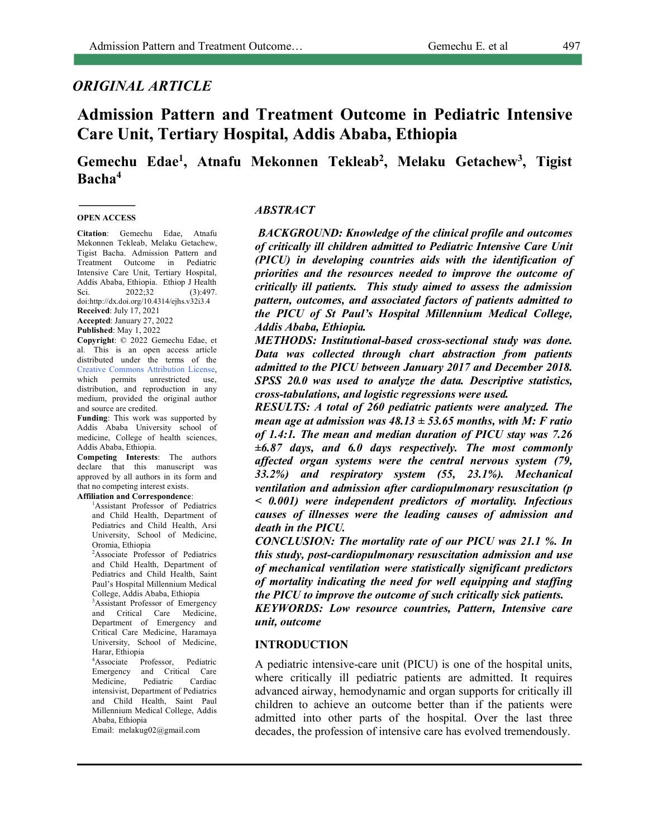# *ORIGINAL ARTICLE*

# **Admission Pattern and Treatment Outcome in Pediatric Intensive Care Unit, Tertiary Hospital, Addis Ababa, Ethiopia**

# Gemechu Edae<sup>1</sup>, Atnafu Mekonnen Tekleab<sup>2</sup>, Melaku Getachew<sup>3</sup>, Tigist **Bacha4**

#### **OPEN ACCESS**

**Citation**: Gemechu Edae, Atnafu Mekonnen Tekleab, Melaku Getachew, Tigist Bacha. Admission Pattern and Treatment Outcome in Pediatric Intensive Care Unit, Tertiary Hospital, Addis Ababa, Ethiopia. Ethiop J Health Sci.  $2022;32$  (3):497. doi:http://dx.doi.org/10.4314/ejhs.v32i3.4 **Received**: July 17, 2021

**Accepted**: January 27, 2022 **Published**: May 1, 2022

**Copyright**: © 2022 Gemechu Edae, et al. This is an open access article distributed under the terms of the Creative Commons Attribution License, which permits unrestricted use, distribution, and reproduction in any medium, provided the original author and source are credited.

**Funding**: This work was supported by Addis Ababa University school of medicine, College of health sciences, Addis Ababa, Ethiopia.

**Competing Interests**: The authors declare that this manuscript was approved by all authors in its form and that no competing interest exists.

#### **Affiliation and Correspondence**:

<sup>1</sup>Assistant Professor of Pediatrics and Child Health, Department of Pediatrics and Child Health, Arsi University, School of Medicine, Oromia, Ethiopia

2 Associate Professor of Pediatrics and Child Health, Department of Pediatrics and Child Health, Saint Paul's Hospital Millennium Medical College, Addis Ababa, Ethiopia

3 Assistant Professor of Emergency and Critical Care Medicine, Department of Emergency and Critical Care Medicine, Haramaya University, School of Medicine, Harar, Ethiopia

4 Associate Professor, Pediatric Emergency and Critical Care Medicine, Pediatric Cardiac intensivist, Department of Pediatrics and Child Health, Saint Paul Millennium Medical College, Addis Ababa, Ethiopia

Email: melakug02@gmail.com

#### *ABSTRACT*

*BACKGROUND: Knowledge of the clinical profile and outcomes of critically ill children admitted to Pediatric Intensive Care Unit (PICU) in developing countries aids with the identification of priorities and the resources needed to improve the outcome of critically ill patients. This study aimed to assess the admission pattern, outcomes, and associated factors of patients admitted to the PICU of St Paul's Hospital Millennium Medical College, Addis Ababa, Ethiopia.*

*METHODS: Institutional-based cross-sectional study was done. Data was collected through chart abstraction from patients admitted to the PICU between January 2017 and December 2018. SPSS 20.0 was used to analyze the data. Descriptive statistics, cross-tabulations, and logistic regressions were used.*

*RESULTS: A total of 260 pediatric patients were analyzed. The mean age at admission was 48.13 ± 53.65 months, with M: F ratio of 1.4:1. The mean and median duration of PICU stay was 7.26 ±6.87 days, and 6.0 days respectively. The most commonly affected organ systems were the central nervous system (79, 33.2%) and respiratory system (55, 23.1%). Mechanical ventilation and admission after cardiopulmonary resuscitation (p < 0.001) were independent predictors of mortality. Infectious causes of illnesses were the leading causes of admission and death in the PICU.*

*CONCLUSION: The mortality rate of our PICU was 21.1 %. In this study, post-cardiopulmonary resuscitation admission and use of mechanical ventilation were statistically significant predictors of mortality indicating the need for well equipping and staffing the PICU to improve the outcome of such critically sick patients.*

*KEYWORDS: Low resource countries, Pattern, Intensive care unit, outcome*

### **INTRODUCTION**

A pediatric intensive-care unit (PICU) is one of the hospital units, where critically ill pediatric patients are admitted. It requires advanced airway, hemodynamic and organ supports for critically ill children to achieve an outcome better than if the patients were admitted into other parts of the hospital. Over the last three decades, the profession of intensive care has evolved tremendously.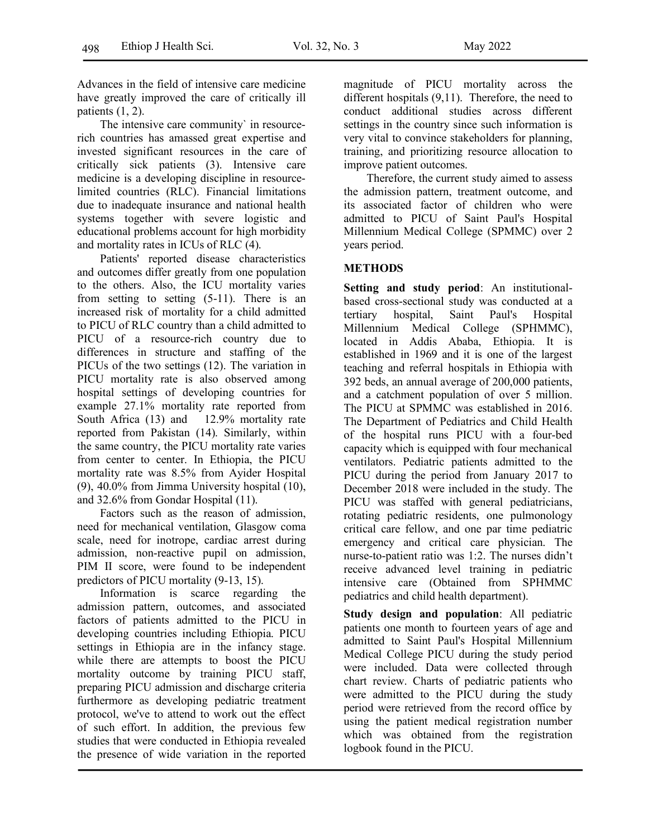Advances in the field of intensive care medicine have greatly improved the care of critically ill patients  $(1, 2)$ .

The intensive care community` in resourcerich countries has amassed great expertise and invested significant resources in the care of critically sick patients (3). Intensive care medicine is a developing discipline in resourcelimited countries (RLC). Financial limitations due to inadequate insurance and national health systems together with severe logistic and educational problems account for high morbidity and mortality rates in ICUs of RLC (4).

Patients' reported disease characteristics and outcomes differ greatly from one population to the others. Also, the ICU mortality varies from setting to setting (5-11). There is an increased risk of mortality for a child admitted to PICU of RLC country than a child admitted to PICU of a resource-rich country due to differences in structure and staffing of the PICUs of the two settings (12). The variation in PICU mortality rate is also observed among hospital settings of developing countries for example 27.1% mortality rate reported from South Africa (13) and 12.9% mortality rate reported from Pakistan (14). Similarly, within the same country, the PICU mortality rate varies from center to center. In Ethiopia, the PICU mortality rate was 8.5% from Ayider Hospital (9), 40.0% from Jimma University hospital (10), and 32.6% from Gondar Hospital (11).

Factors such as the reason of admission, need for mechanical ventilation, Glasgow coma scale, need for inotrope, cardiac arrest during admission, non-reactive pupil on admission, PIM II score, were found to be independent predictors of PICU mortality (9-13, 15).

Information is scarce regarding the admission pattern, outcomes, and associated factors of patients admitted to the PICU in developing countries including Ethiopia. PICU settings in Ethiopia are in the infancy stage. while there are attempts to boost the PICU mortality outcome by training PICU staff, preparing PICU admission and discharge criteria furthermore as developing pediatric treatment protocol, we've to attend to work out the effect of such effort. In addition, the previous few studies that were conducted in Ethiopia revealed the presence of wide variation in the reported

magnitude of PICU mortality across the different hospitals (9,11). Therefore, the need to conduct additional studies across different settings in the country since such information is very vital to convince stakeholders for planning, training, and prioritizing resource allocation to improve patient outcomes.

Therefore, the current study aimed to assess the admission pattern, treatment outcome, and its associated factor of children who were admitted to PICU of Saint Paul's Hospital Millennium Medical College (SPMMC) over 2 years period.

# **METHODS**

**Setting and study period**: An institutionalbased cross-sectional study was conducted at a tertiary hospital, Saint Paul's Hospital Millennium Medical College (SPHMMC), located in Addis Ababa, Ethiopia. It is established in 1969 and it is one of the largest teaching and referral hospitals in Ethiopia with 392 beds, an annual average of 200,000 patients, and a catchment population of over 5 million. The PICU at SPMMC was established in 2016. The Department of Pediatrics and Child Health of the hospital runs PICU with a four-bed capacity which is equipped with four mechanical ventilators. Pediatric patients admitted to the PICU during the period from January 2017 to December 2018 were included in the study. The PICU was staffed with general pediatricians, rotating pediatric residents, one pulmonology critical care fellow, and one par time pediatric emergency and critical care physician. The nurse-to-patient ratio was 1:2. The nurses didn't receive advanced level training in pediatric intensive care (Obtained from SPHMMC pediatrics and child health department).

**Study design and population**: All pediatric patients one month to fourteen years of age and admitted to Saint Paul's Hospital Millennium Medical College PICU during the study period were included. Data were collected through chart review. Charts of pediatric patients who were admitted to the PICU during the study period were retrieved from the record office by using the patient medical registration number which was obtained from the registration logbook found in the PICU.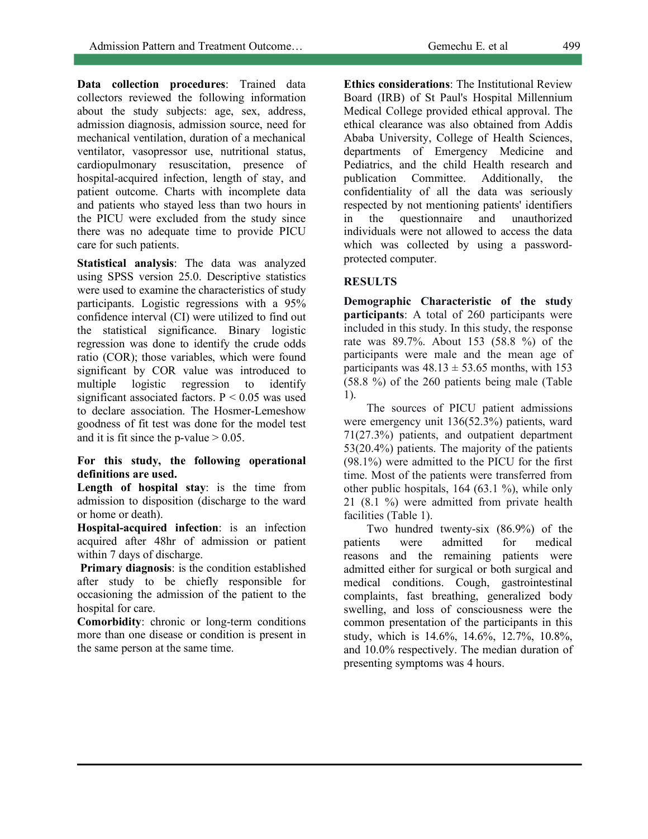**Data collection procedures**: Trained data collectors reviewed the following information about the study subjects: age, sex, address, admission diagnosis, admission source, need for mechanical ventilation, duration of a mechanical ventilator, vasopressor use, nutritional status, cardiopulmonary resuscitation, presence of hospital-acquired infection, length of stay, and patient outcome. Charts with incomplete data and patients who stayed less than two hours in the PICU were excluded from the study since there was no adequate time to provide PICU care for such patients.

**Statistical analysis**: The data was analyzed using SPSS version 25.0. Descriptive statistics were used to examine the characteristics of study participants. Logistic regressions with a 95% confidence interval (CI) were utilized to find out the statistical significance. Binary logistic regression was done to identify the crude odds ratio (COR); those variables, which were found significant by COR value was introduced to multiple logistic regression to identify significant associated factors.  $P < 0.05$  was used to declare association. The Hosmer-Lemeshow goodness of fit test was done for the model test and it is fit since the p-value  $> 0.05$ .

## **For this study, the following operational definitions are used.**

**Length of hospital stay**: is the time from admission to disposition (discharge to the ward or home or death).

**Hospital-acquired infection**: is an infection acquired after 48hr of admission or patient within 7 days of discharge.

**Primary diagnosis:** is the condition established after study to be chiefly responsible for occasioning the admission of the patient to the hospital for care.

**Comorbidity**: chronic or long-term conditions more than one disease or condition is present in the same person at the same time.

**Ethics considerations**: The Institutional Review Board (IRB) of St Paul's Hospital Millennium Medical College provided ethical approval. The ethical clearance was also obtained from Addis Ababa University, College of Health Sciences, departments of Emergency Medicine and Pediatrics, and the child Health research and publication Committee. Additionally, the confidentiality of all the data was seriously respected by not mentioning patients' identifiers in the questionnaire and unauthorized individuals were not allowed to access the data which was collected by using a passwordprotected computer.

# **RESULTS**

**Demographic Characteristic of the study participants**: A total of 260 participants were included in this study. In this study, the response rate was 89.7%. About 153 (58.8 %) of the participants were male and the mean age of participants was  $48.13 \pm 53.65$  months, with 153 (58.8 %) of the 260 patients being male (Table 1).

The sources of PICU patient admissions were emergency unit 136(52.3%) patients, ward 71(27.3%) patients, and outpatient department 53(20.4%) patients. The majority of the patients (98.1%) were admitted to the PICU for the first time. Most of the patients were transferred from other public hospitals, 164 (63.1 %), while only 21 (8.1 %) were admitted from private health facilities (Table 1).

Two hundred twenty-six (86.9%) of the patients were admitted for medical reasons and the remaining patients were admitted either for surgical or both surgical and medical conditions. Cough, gastrointestinal complaints, fast breathing, generalized body swelling, and loss of consciousness were the common presentation of the participants in this study, which is 14.6%, 14.6%, 12.7%, 10.8%, and 10.0% respectively. The median duration of presenting symptoms was 4 hours.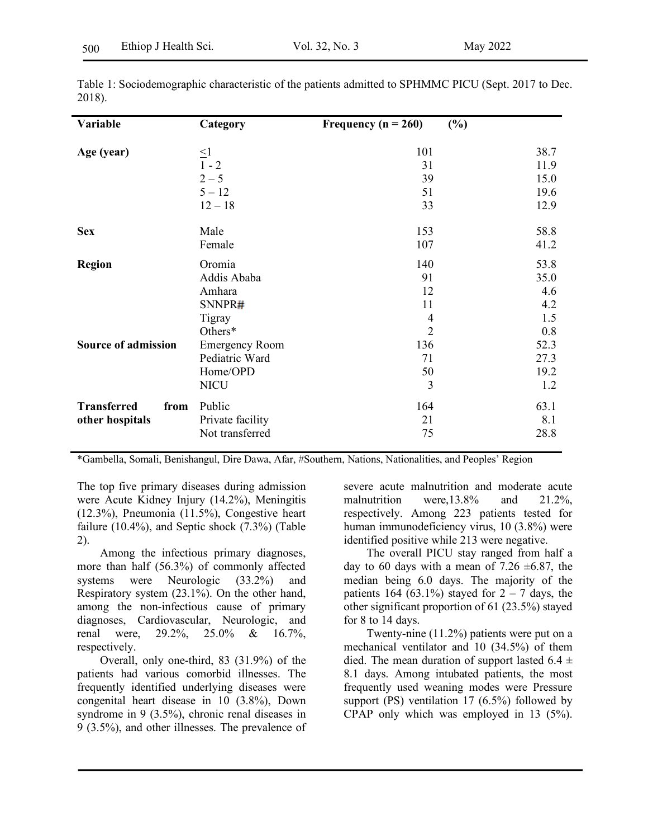| Variable                   | Category              | Frequency ( $n = 260$ ) | (%)  |
|----------------------------|-----------------------|-------------------------|------|
| Age (year)                 | $\leq1$               | 101                     | 38.7 |
|                            | $1 - 2$               | 31                      | 11.9 |
|                            | $2 - 5$               | 39                      | 15.0 |
|                            | $5 - 12$              | 51                      | 19.6 |
|                            | $12 - 18$             | 33                      | 12.9 |
| <b>Sex</b>                 | Male                  | 153                     | 58.8 |
|                            | Female                | 107                     | 41.2 |
| <b>Region</b>              | Oromia                | 140                     | 53.8 |
|                            | Addis Ababa           | 91                      | 35.0 |
|                            | Amhara                | 12                      | 4.6  |
|                            | SNNPR#                | 11                      | 4.2  |
|                            | Tigray                | 4                       | 1.5  |
|                            | Others*               | $\overline{2}$          | 0.8  |
| <b>Source of admission</b> | <b>Emergency Room</b> | 136                     | 52.3 |
|                            | Pediatric Ward        | 71                      | 27.3 |
|                            | Home/OPD              | 50                      | 19.2 |
|                            | <b>NICU</b>           | $\overline{3}$          | 1.2  |
| <b>Transferred</b><br>from | Public                | 164                     | 63.1 |
| other hospitals            | Private facility      | 21                      | 8.1  |
|                            | Not transferred       | 75                      | 28.8 |

Table 1: Sociodemographic characteristic of the patients admitted to SPHMMC PICU (Sept. 2017 to Dec. 2018).

\*Gambella, Somali, Benishangul, Dire Dawa, Afar, #Southern, Nations, Nationalities, and Peoples' Region

The top five primary diseases during admission were Acute Kidney Injury (14.2%), Meningitis (12.3%), Pneumonia (11.5%), Congestive heart failure (10.4%), and Septic shock (7.3%) (Table 2).

Among the infectious primary diagnoses, more than half (56.3%) of commonly affected systems were Neurologic (33.2%) and Respiratory system (23.1%). On the other hand, among the non-infectious cause of primary diagnoses, Cardiovascular, Neurologic, and renal were, 29.2%, 25.0% & 16.7%, respectively.

Overall, only one-third, 83 (31.9%) of the patients had various comorbid illnesses. The frequently identified underlying diseases were congenital heart disease in 10 (3.8%), Down syndrome in 9 (3.5%), chronic renal diseases in 9 (3.5%), and other illnesses. The prevalence of severe acute malnutrition and moderate acute malnutrition were,13.8% and 21.2%, respectively. Among 223 patients tested for human immunodeficiency virus, 10 (3.8%) were identified positive while 213 were negative.

The overall PICU stay ranged from half a day to 60 days with a mean of 7.26  $\pm$ 6.87, the median being 6.0 days. The majority of the patients 164 (63.1%) stayed for  $2 - 7$  days, the other significant proportion of 61 (23.5%) stayed for 8 to 14 days.

Twenty-nine (11.2%) patients were put on a mechanical ventilator and 10 (34.5%) of them died. The mean duration of support lasted  $6.4 \pm$ 8.1 days. Among intubated patients, the most frequently used weaning modes were Pressure support (PS) ventilation 17 (6.5%) followed by CPAP only which was employed in 13 (5%).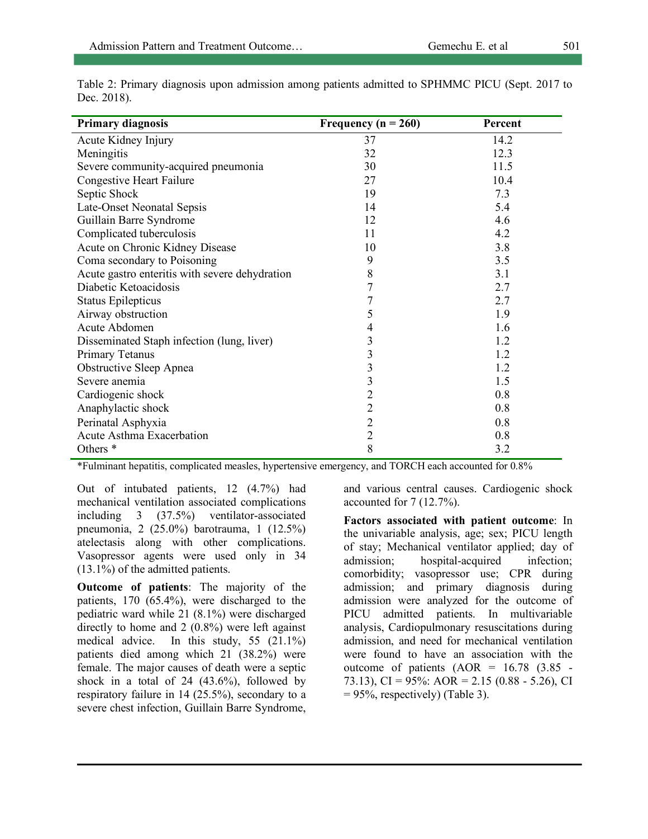| <b>Primary diagnosis</b>                       | Frequency ( $n = 260$ ) | Percent |
|------------------------------------------------|-------------------------|---------|
| Acute Kidney Injury                            | 37                      | 14.2    |
| Meningitis                                     | 32                      | 12.3    |
| Severe community-acquired pneumonia            | 30                      | 11.5    |
| <b>Congestive Heart Failure</b>                | 27                      | 10.4    |
| Septic Shock                                   | 19                      | 7.3     |
| Late-Onset Neonatal Sepsis                     | 14                      | 5.4     |
| Guillain Barre Syndrome                        | 12                      | 4.6     |
| Complicated tuberculosis                       | 11                      | 4.2     |
| Acute on Chronic Kidney Disease                | 10                      | 3.8     |
| Coma secondary to Poisoning                    | 9                       | 3.5     |
| Acute gastro enteritis with severe dehydration | 8                       | 3.1     |
| Diabetic Ketoacidosis                          | 7                       | 2.7     |
| <b>Status Epilepticus</b>                      | 7                       | 2.7     |
| Airway obstruction                             | 5                       | 1.9     |
| Acute Abdomen                                  | 4                       | 1.6     |
| Disseminated Staph infection (lung, liver)     | 3                       | 1.2     |
| Primary Tetanus                                | 3                       | 1.2     |
| <b>Obstructive Sleep Apnea</b>                 | 3                       | 1.2     |
| Severe anemia                                  | $\overline{\mathbf{3}}$ | 1.5     |
| Cardiogenic shock                              | $\overline{2}$          | 0.8     |
| Anaphylactic shock                             | $\overline{2}$          | 0.8     |
| Perinatal Asphyxia                             | $\overline{2}$          | 0.8     |
| Acute Asthma Exacerbation                      | $\overline{2}$          | 0.8     |
| Others <sup>*</sup>                            | 8                       | 3.2     |

Table 2: Primary diagnosis upon admission among patients admitted to SPHMMC PICU (Sept. 2017 to Dec. 2018).

\*Fulminant hepatitis, complicated measles, hypertensive emergency, and TORCH each accounted for 0.8%

Out of intubated patients, 12 (4.7%) had mechanical ventilation associated complications including 3 (37.5%) ventilator-associated pneumonia, 2 (25.0%) barotrauma, 1 (12.5%) atelectasis along with other complications. Vasopressor agents were used only in 34 (13.1%) of the admitted patients.

**Outcome of patients**: The majority of the patients, 170 (65.4%), were discharged to the pediatric ward while 21 (8.1%) were discharged directly to home and 2 (0.8%) were left against medical advice. In this study, 55 (21.1%) patients died among which 21 (38.2%) were female. The major causes of death were a septic shock in a total of  $24$  (43.6%), followed by respiratory failure in 14 (25.5%), secondary to a severe chest infection, Guillain Barre Syndrome, and various central causes. Cardiogenic shock accounted for 7 (12.7%).

**Factors associated with patient outcome**: In the univariable analysis, age; sex; PICU length of stay; Mechanical ventilator applied; day of admission; hospital-acquired infection; comorbidity; vasopressor use; CPR during admission; and primary diagnosis during admission were analyzed for the outcome of PICU admitted patients. In multivariable analysis, Cardiopulmonary resuscitations during admission, and need for mechanical ventilation were found to have an association with the outcome of patients  $(AOR = 16.78 \text{ } (3.85 -$ 73.13), CI =  $95\%$ : AOR = 2.15 (0.88 - 5.26), CI  $= 95\%$ , respectively) (Table 3).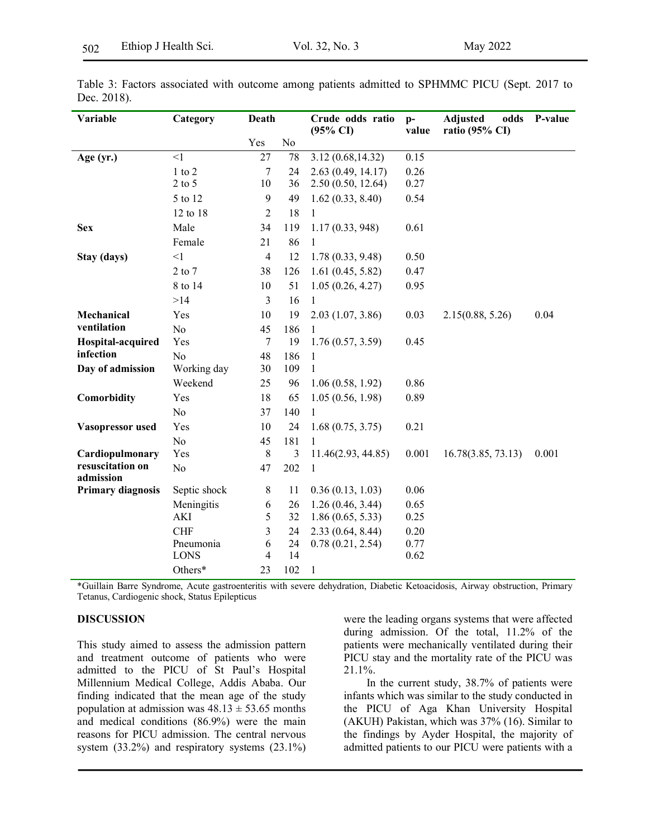| Variable                      | Category       | Death          |                | Crude odds ratio<br>$(95\% \text{ CI})$ | $p-$<br>value | <b>Adjusted</b><br>odds<br>ratio (95% CI) | P-value |
|-------------------------------|----------------|----------------|----------------|-----------------------------------------|---------------|-------------------------------------------|---------|
|                               |                | Yes            | No             |                                         |               |                                           |         |
| $\leq$ 1<br>Age $(yr.)$       |                | 27             | 78             | 3.12(0.68, 14.32)                       | 0.15          |                                           |         |
|                               | $1$ to $2$     | 7              | 24             | 2.63(0.49, 14.17)                       | 0.26          |                                           |         |
|                               | $2$ to $5$     | 10             | 36             | 2.50(0.50, 12.64)                       | 0.27          |                                           |         |
|                               | 5 to 12        | 9              | 49             | 1.62(0.33, 8.40)                        | 0.54          |                                           |         |
|                               | 12 to 18       | $\overline{2}$ | 18             | $\mathbf{1}$                            |               |                                           |         |
| <b>Sex</b>                    | Male           | 34             | 119            | 1.17(0.33, 948)                         | 0.61          |                                           |         |
|                               | Female         | 21             | 86             | 1                                       |               |                                           |         |
| Stay (days)                   | $\leq$ 1       | $\overline{4}$ | 12             | 1.78(0.33, 9.48)                        | 0.50          |                                           |         |
|                               | $2$ to $7$     | 38             | 126            | 1.61(0.45, 5.82)                        | 0.47          |                                           |         |
|                               | 8 to 14        | 10             | 51             | 1.05(0.26, 4.27)                        | 0.95          |                                           |         |
|                               | >14            | 3              | 16             | $\mathbf{1}$                            |               |                                           |         |
| Mechanical                    | Yes            | 10             | 19             | 2.03(1.07, 3.86)                        | 0.03          | 2.15(0.88, 5.26)                          | 0.04    |
| ventilation                   | N <sub>o</sub> | 45             | 186            |                                         |               |                                           |         |
| Hospital-acquired             | Yes            | 7              | 19             | 1.76(0.57, 3.59)                        | 0.45          |                                           |         |
| infection                     | N <sub>0</sub> | 48             | 186            | 1                                       |               |                                           |         |
| Day of admission              | Working day    | 30             | 109            | 1                                       |               |                                           |         |
|                               | Weekend        | 25             | 96             | 1.06(0.58, 1.92)                        | 0.86          |                                           |         |
| Comorbidity                   | Yes            | 18             | 65             | 1.05(0.56, 1.98)                        | 0.89          |                                           |         |
|                               | No             | 37             | 140            | $\mathbf{1}$                            |               |                                           |         |
| Vasopressor used              | Yes            | 10             | 24             | 1.68(0.75, 3.75)                        | 0.21          |                                           |         |
|                               | N <sub>o</sub> | 45             | 181            |                                         |               |                                           |         |
| Cardiopulmonary               | Yes            | $8\,$          | $\mathfrak{Z}$ | 11.46(2.93, 44.85)                      | 0.001         | 16.78(3.85, 73.13)                        | 0.001   |
| resuscitation on<br>admission | N <sub>o</sub> | 47             | 202            | 1                                       |               |                                           |         |
| <b>Primary diagnosis</b>      | Septic shock   | 8              | 11             | 0.36(0.13, 1.03)                        | 0.06          |                                           |         |
|                               | Meningitis     | 6              | 26             | 1.26(0.46, 3.44)                        | 0.65          |                                           |         |
|                               | <b>AKI</b>     | 5              | 32             | 1.86(0.65, 5.33)                        | 0.25          |                                           |         |
|                               | <b>CHF</b>     | 3              | 24             | 2.33(0.64, 8.44)                        | 0.20          |                                           |         |
|                               | Pneumonia      | 6              | 24             | 0.78(0.21, 2.54)                        | 0.77          |                                           |         |
|                               | <b>LONS</b>    | 4              | 14             |                                         | 0.62          |                                           |         |
|                               | Others*        | 23             | 102            | $\mathbf{1}$                            |               |                                           |         |

Table 3: Factors associated with outcome among patients admitted to SPHMMC PICU (Sept. 2017 to Dec. 2018).

\*Guillain Barre Syndrome, Acute gastroenteritis with severe dehydration, Diabetic Ketoacidosis, Airway obstruction, Primary Tetanus, Cardiogenic shock, Status Epilepticus

## **DISCUSSION**

This study aimed to assess the admission pattern and treatment outcome of patients who were admitted to the PICU of St Paul's Hospital Millennium Medical College, Addis Ababa. Our finding indicated that the mean age of the study population at admission was  $48.13 \pm 53.65$  months and medical conditions (86.9%) were the main reasons for PICU admission. The central nervous system (33.2%) and respiratory systems (23.1%) were the leading organs systems that were affected during admission. Of the total, 11.2% of the patients were mechanically ventilated during their PICU stay and the mortality rate of the PICU was 21.1%.

In the current study, 38.7% of patients were infants which was similar to the study conducted in the PICU of Aga Khan University Hospital (AKUH) Pakistan, which was 37% (16). Similar to the findings by Ayder Hospital, the majority of admitted patients to our PICU were patients with a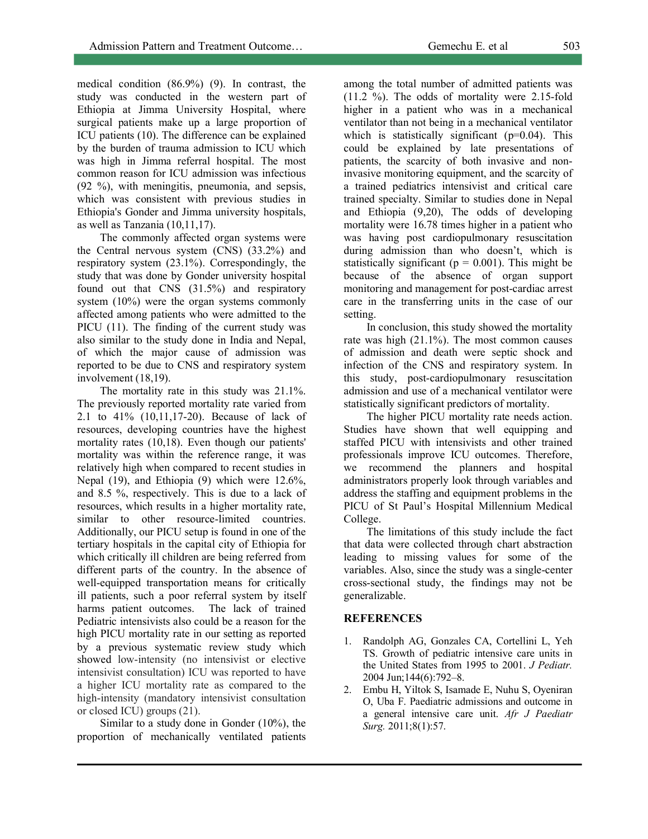medical condition (86.9%) (9). In contrast, the study was conducted in the western part of Ethiopia at Jimma University Hospital, where surgical patients make up a large proportion of ICU patients (10). The difference can be explained by the burden of trauma admission to ICU which was high in Jimma referral hospital. The most common reason for ICU admission was infectious (92 %), with meningitis, pneumonia, and sepsis, which was consistent with previous studies in Ethiopia's Gonder and Jimma university hospitals, as well as Tanzania (10,11,17).

The commonly affected organ systems were the Central nervous system (CNS) (33.2%) and respiratory system (23.1%). Correspondingly, the study that was done by Gonder university hospital found out that CNS (31.5%) and respiratory system (10%) were the organ systems commonly affected among patients who were admitted to the PICU (11). The finding of the current study was also similar to the study done in India and Nepal, of which the major cause of admission was reported to be due to CNS and respiratory system involvement (18,19).

The mortality rate in this study was 21.1%. The previously reported mortality rate varied from 2.1 to 41% (10,11,17-20). Because of lack of resources, developing countries have the highest mortality rates (10,18). Even though our patients' mortality was within the reference range, it was relatively high when compared to recent studies in Nepal (19), and Ethiopia (9) which were 12.6%, and 8.5 %, respectively. This is due to a lack of resources, which results in a higher mortality rate, similar to other resource-limited countries. Additionally, our PICU setup is found in one of the tertiary hospitals in the capital city of Ethiopia for which critically ill children are being referred from different parts of the country. In the absence of well-equipped transportation means for critically ill patients, such a poor referral system by itself harms patient outcomes. The lack of trained Pediatric intensivists also could be a reason for the high PICU mortality rate in our setting as reported by a previous systematic review study which showed low-intensity (no intensivist or elective intensivist consultation) ICU was reported to have a higher ICU mortality rate as compared to the high-intensity (mandatory intensivist consultation or closed ICU) groups (21).

Similar to a study done in Gonder (10%), the proportion of mechanically ventilated patients

among the total number of admitted patients was (11.2 %). The odds of mortality were 2.15-fold higher in a patient who was in a mechanical ventilator than not being in a mechanical ventilator which is statistically significant (p=0.04). This could be explained by late presentations of patients, the scarcity of both invasive and noninvasive monitoring equipment, and the scarcity of a trained pediatrics intensivist and critical care trained specialty. Similar to studies done in Nepal and Ethiopia (9,20), The odds of developing mortality were 16.78 times higher in a patient who was having post cardiopulmonary resuscitation during admission than who doesn't, which is statistically significant ( $p = 0.001$ ). This might be because of the absence of organ support monitoring and management for post-cardiac arrest care in the transferring units in the case of our setting.

In conclusion, this study showed the mortality rate was high (21.1%). The most common causes of admission and death were septic shock and infection of the CNS and respiratory system. In this study, post-cardiopulmonary resuscitation admission and use of a mechanical ventilator were statistically significant predictors of mortality.

The higher PICU mortality rate needs action. Studies have shown that well equipping and staffed PICU with intensivists and other trained professionals improve ICU outcomes. Therefore, we recommend the planners and hospital administrators properly look through variables and address the staffing and equipment problems in the PICU of St Paul's Hospital Millennium Medical College.

The limitations of this study include the fact that data were collected through chart abstraction leading to missing values for some of the variables. Also, since the study was a single-center cross-sectional study, the findings may not be generalizable.

### **REFERENCES**

- 1. Randolph AG, Gonzales CA, Cortellini L, Yeh TS. Growth of pediatric intensive care units in the United States from 1995 to 2001. *J Pediatr.* 2004 Jun;144(6):792–8.
- 2. Embu H, Yiltok S, Isamade E, Nuhu S, Oyeniran O, Uba F. Paediatric admissions and outcome in a general intensive care unit. *Afr J Paediatr Surg.* 2011;8(1):57.